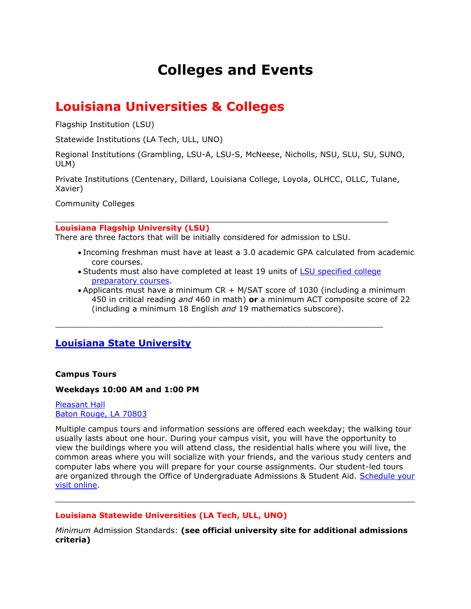# **Colleges and Events**

## **Louisiana Universities & Colleges**

Flagship Institution (LSU)

Statewide Institutions (LA Tech, ULL, UNO)

Regional Institutions (Grambling, LSU-A, LSU-S, McNeese, Nicholls, NSU, SLU, SU, SUNO, ULM)

Private Institutions (Centenary, Dillard, Louisiana College, Loyola, OLHCC, OLLC, Tulane, Xavier)

 $\_$  ,  $\_$  ,  $\_$  ,  $\_$  ,  $\_$  ,  $\_$  ,  $\_$  ,  $\_$  ,  $\_$  ,  $\_$  ,  $\_$  ,  $\_$  ,  $\_$  ,  $\_$  ,  $\_$  ,  $\_$  ,  $\_$  ,  $\_$  ,  $\_$  ,  $\_$ 

Community Colleges

**Louisiana Flagship University (LSU)** 

There are three factors that will be initially considered for admission to LSU.

- Incoming freshman must have at least a 3.0 academic GPA calculated from academic core courses.
- Students must also have completed at least 19 units of LSU specified college [preparatory courses.](http://sites01.lsu.edu/wp/admissions/become-a-tiger-2/freshmen/)

 $\_$  ,  $\_$  ,  $\_$  ,  $\_$  ,  $\_$  ,  $\_$  ,  $\_$  ,  $\_$  ,  $\_$  ,  $\_$  ,  $\_$  ,  $\_$  ,  $\_$  ,  $\_$  ,  $\_$  ,  $\_$  ,  $\_$  ,  $\_$  ,  $\_$  ,  $\_$ 

 Applicants must have a minimum CR + M/SAT score of 1030 (including a minimum 450 in critical reading *and* 460 in math) **or** a minimum ACT composite score of 22 (including a minimum 18 English *and* 19 mathematics subscore).

### **[Louisiana State University](http://www.lsu.edu/)**

#### **Campus Tours**

#### **Weekdays 10:00 AM and 1:00 PM**

[Pleasant Hall](http://maps.google.com/maps?f=q&source=s_q&hl=en&geocode=&q=Pleasant+Hall+Baton+Rouge,+LA+70803&sll=30.416814,-91.177468&sspn=0.029681,0.038581&ie=UTF8&hq=&hnear=Pleasant+Hall,+Baton+Rouge,+East+Baton+Rouge,+Louisiana+70802&ll=30.416851,-91.177468&spn=0.029681,0.038581&z=15) [Baton Rouge, LA 70803](http://maps.google.com/maps?f=q&source=s_q&hl=en&geocode=&q=Pleasant+Hall+Baton+Rouge,+LA+70803&sll=30.416814,-91.177468&sspn=0.029681,0.038581&ie=UTF8&hq=&hnear=Pleasant+Hall,+Baton+Rouge,+East+Baton+Rouge,+Louisiana+70802&ll=30.416851,-91.177468&spn=0.029681,0.038581&z=15)

Multiple campus tours and information sessions are offered each weekday; the walking tour usually lasts about one hour. During your campus visit, you will have the opportunity to view the buildings where you will attend class, the residential halls where you will live, the common areas where you will socialize with your friends, and the various study centers and computer labs where you will prepare for your course assignments. Our student-led tours are organized through the Office of Undergraduate Admissions & Student Aid. [Schedule your](http://sites01.lsu.edu/wp/admissions/visit-lsu-2/)  [visit online.](http://sites01.lsu.edu/wp/admissions/visit-lsu-2/)

#### **Louisiana Statewide Universities (LA Tech, ULL, UNO)**

*Minimum* Admission Standards: **(see official university site for additional admissions criteria)**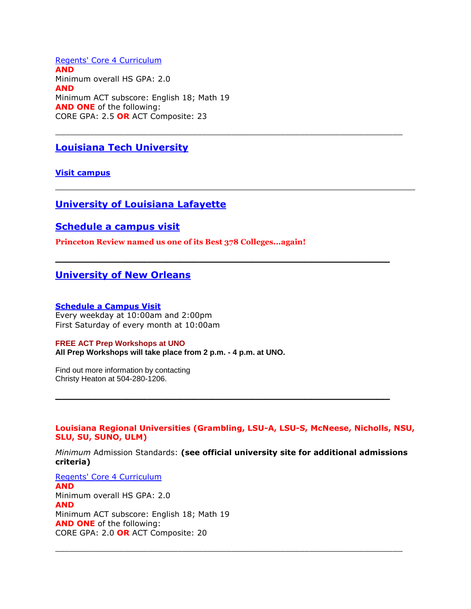[Regents' Core 4 Curriculum](http://www.louisianabelieves.com/academics/graduation-requirements) **AND** Minimum overall HS GPA: 2.0 **AND** Minimum ACT subscore: English 18; Math 19 **AND ONE** of the following: CORE GPA: 2.5 **OR** ACT Composite: 23

### **[Louisiana Tech University](http://www.latech.edu/)**

**[Visit campus](http://www.latech.edu/admissions/campus_visit.shtml)**

#### **[University of Louisiana Lafayette](http://www.louisiana.edu/)**

#### **[Schedule a campus visit](http://www.louisiana.edu/admissions/visit-us)**

**Princeton Review named us one of its Best 378 Colleges...again!**

#### **[University of New Orleans](http://www.uno.edu/)**

#### **[Schedule a Campus Visit](http://www.uno.edu/admissions/event_registration.aspx)**

Every weekday at 10:00am and 2:00pm First Saturday of every month at 10:00am

#### **FREE ACT Prep Workshops at UNO All Prep Workshops will take place from 2 p.m. - 4 p.m. at UNO.**

Find out more information by contacting Christy Heaton at 504-280-1206.

**Louisiana Regional Universities (Grambling, LSU-A, LSU-S, McNeese, Nicholls, NSU, SLU, SU, SUNO, ULM)**

**\_\_\_\_\_\_\_\_\_\_\_\_\_\_\_\_\_\_\_\_\_\_\_\_\_\_\_\_\_\_\_\_\_\_\_\_\_\_\_\_\_\_\_\_\_\_\_\_\_\_\_**

 $\_$  ,  $\_$  ,  $\_$  ,  $\_$  ,  $\_$  ,  $\_$  ,  $\_$  ,  $\_$  ,  $\_$  ,  $\_$  ,  $\_$  ,  $\_$  ,  $\_$  ,  $\_$  ,  $\_$  ,  $\_$  ,  $\_$  ,  $\_$  ,  $\_$  ,  $\_$ 

**\_\_\_\_\_\_\_\_\_\_\_\_\_\_\_\_\_\_\_\_\_\_\_\_\_\_\_\_\_\_\_\_\_\_\_\_\_\_\_\_\_\_\_\_\_\_\_\_\_\_\_**

*Minimum* Admission Standards: **(see official university site for additional admissions criteria)**

 $\_$  ,  $\_$  ,  $\_$  ,  $\_$  ,  $\_$  ,  $\_$  ,  $\_$  ,  $\_$  ,  $\_$  ,  $\_$  ,  $\_$  ,  $\_$  ,  $\_$  ,  $\_$  ,  $\_$  ,  $\_$  ,  $\_$  ,  $\_$  ,  $\_$  ,  $\_$ 

[Regents' Core 4 Curriculum](http://www.louisianabelieves.com/academics/graduation-requirements) **AND** Minimum overall HS GPA: 2.0 **AND** Minimum ACT subscore: English 18; Math 19 **AND ONE** of the following: CORE GPA: 2.0 **OR** ACT Composite: 20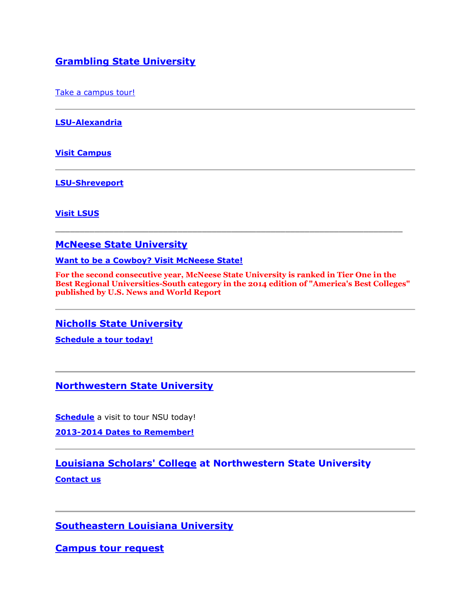### **[Grambling State University](http://www.gram.edu/)**

[Take a campus tour!](http://www.gram.edu/admissions/visit/)

**[LSU-Alexandria](http://www.lsua.edu/)**

**[Visit Campus](http://www.lsua.edu/prosp/Discover/VisitCampus.aspx)**

**[LSU-Shreveport](http://www.lsus.edu/)**

**[Visit LSUS](http://www.lsus.edu/about-lsus/visit-lsus)**

#### **[McNeese State University](http://www.mcneese.edu/)**

**[Want to be a Cowboy? Visit McNeese State!](http://www.mcneese.edu/future-students)**

**For the second consecutive year, McNeese State University is ranked in Tier One in the Best Regional Universities-South category in the 2014 edition of "America's Best Colleges" published by U.S. News and World Report**

 $\_$  ,  $\_$  ,  $\_$  ,  $\_$  ,  $\_$  ,  $\_$  ,  $\_$  ,  $\_$  ,  $\_$  ,  $\_$  ,  $\_$  ,  $\_$  ,  $\_$  ,  $\_$  ,  $\_$  ,  $\_$  ,  $\_$  ,  $\_$  ,  $\_$  ,  $\_$ 

**[Nicholls State University](http://www.nicholls.edu/)**

**[Schedule a tour today!](http://www.nicholls.edu/tours/schedule-your-tour/)**

**[Northwestern State University](http://www.nsula.edu/)**

**[Schedule](http://recruiting.nsula.edu/campus-tour-form/)** a visit to tour NSU today!

**[2013-2014 Dates to Remember!](http://recruiting.nsula.edu/important-dates-for-2013-201/)**

**[Louisiana Scholars' College](http://scholars.nsula.edu/) at Northwestern State University**

**[Contact us](http://scholars.nsula.edu/contact-us/)**

**[Southeastern Louisiana University](http://www.selu.edu/)**

**[Campus tour request](http://www.selu.edu/future_students/visit/campus_visit/index.html)**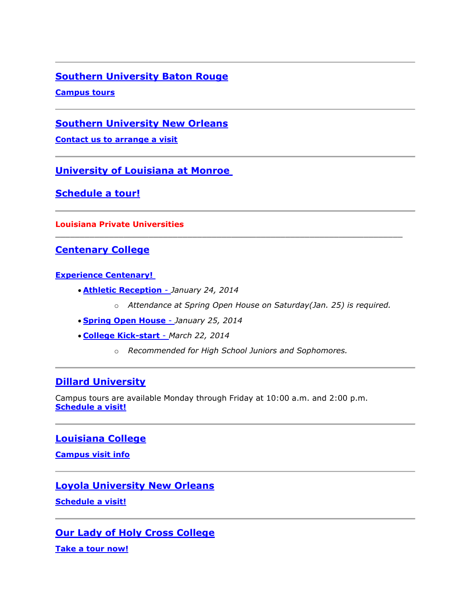### **[Southern University Baton Rouge](http://www.subr.edu/)**

**[Campus tours](http://www.subr.edu/index.cfm/page/46)**

**[Southern University New Orleans](http://www.suno.edu/)**

**[Contact us to arrange a visit](http://suno.edu/student-affair/admissions-2/visit-campus/)**

**[University of Louisiana at Monroe](http://www.ulm.edu/)**

**[Schedule a tour!](http://www.ulm.edu/prospectivestudents/hawkseekers/)**

**Louisiana Private Universities**

**[Centenary College](http://www.centenary.edu/)**

#### **[Experience Centenary!](http://www.centenary.edu/admission/visit)**

- **[Athletic Reception](http://www.centenary.edu/admission/visit)** *January 24, 2014*
	- o *Attendance at Spring Open House on Saturday(Jan. 25) is required.*
- **[Spring Open House](http://www.centenary.edu/admission/visit)** *January 25, 2014*
- **[College Kick-start](https://crm.orionondemand.com/crm/forms/EI704mfC7k3Ex6700mzq)** *March 22, 2014*
	- o *Recommended for High School Juniors and Sophomores.*

 $\_$  ,  $\_$  ,  $\_$  ,  $\_$  ,  $\_$  ,  $\_$  ,  $\_$  ,  $\_$  ,  $\_$  ,  $\_$  ,  $\_$  ,  $\_$  ,  $\_$  ,  $\_$  ,  $\_$  ,  $\_$  ,  $\_$  ,  $\_$  ,  $\_$  ,  $\_$ 

### **[Dillard University](http://dillard.edu/)**

Campus tours are available Monday through Friday at 10:00 a.m. and 2:00 p.m. **[Schedule a visit!](http://www.dillard.edu/index.php?option=com_content&view=article&id=79&Itemid=127)**

### **[Louisiana College](http://www.lacollege.edu/)**

**[Campus visit info](http://www.lacollege.edu/future-students/campus-visit)**

### **[Loyola University New Orleans](http://www.loyno.edu/)**

**[Schedule a visit!](https://secure.loyno.edu/apply/campusvisit/index.php)**

### **[Our Lady of Holy Cross College](http://www.olhcc.edu/)**

**[Take a tour now!](http://www.olhcc.edu/admissions-and-financial-aid/visit-us.html)**